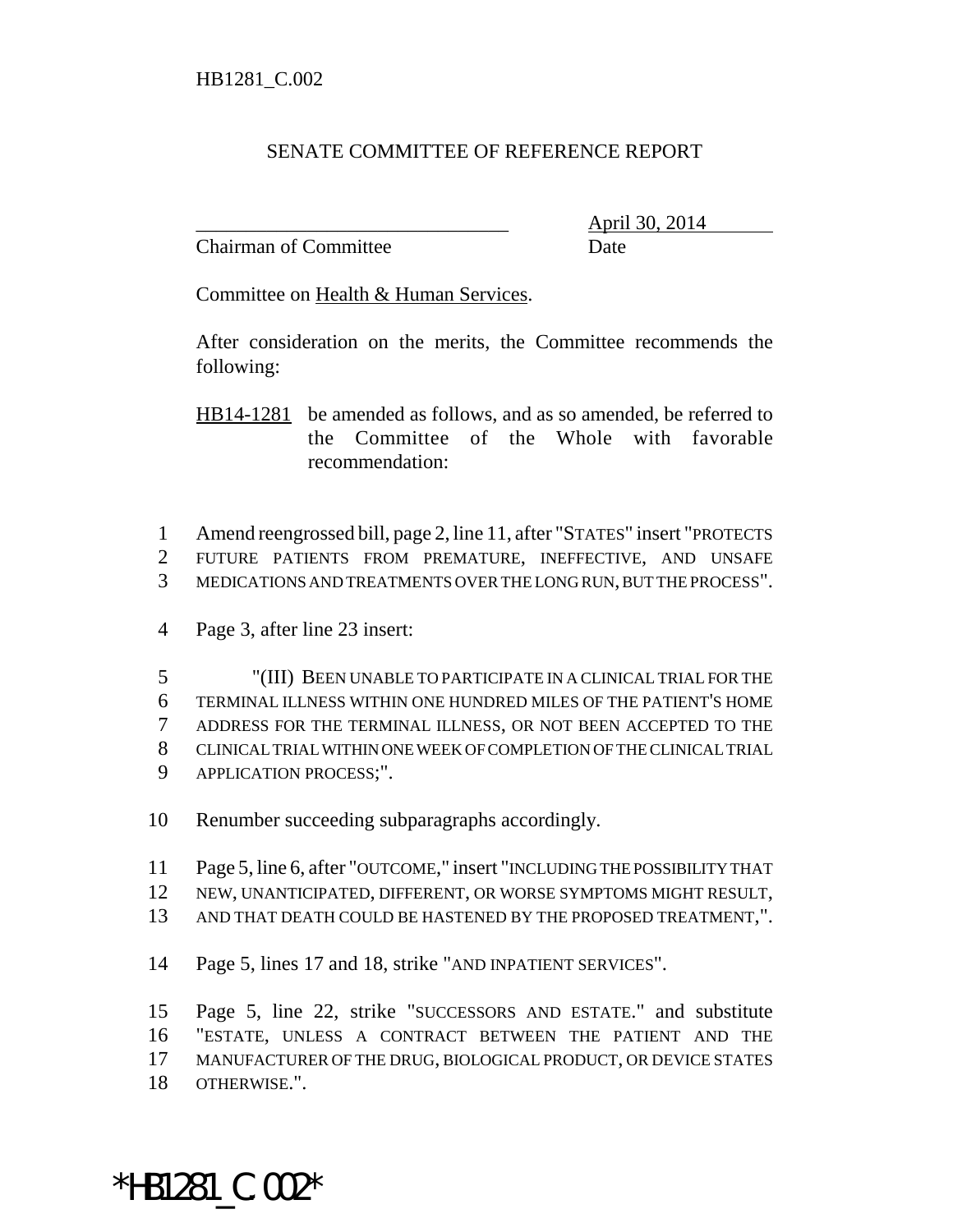## SENATE COMMITTEE OF REFERENCE REPORT

Chairman of Committee Date

\_\_\_\_\_\_\_\_\_\_\_\_\_\_\_\_\_\_\_\_\_\_\_\_\_\_\_\_\_\_\_ April 30, 2014

Committee on Health & Human Services.

After consideration on the merits, the Committee recommends the following:

HB14-1281 be amended as follows, and as so amended, be referred to the Committee of the Whole with favorable recommendation:

 Amend reengrossed bill, page 2, line 11, after "STATES" insert "PROTECTS FUTURE PATIENTS FROM PREMATURE, INEFFECTIVE, AND UNSAFE MEDICATIONS AND TREATMENTS OVER THE LONG RUN, BUT THE PROCESS".

Page 3, after line 23 insert:

 "(III) BEEN UNABLE TO PARTICIPATE IN A CLINICAL TRIAL FOR THE TERMINAL ILLNESS WITHIN ONE HUNDRED MILES OF THE PATIENT'S HOME ADDRESS FOR THE TERMINAL ILLNESS, OR NOT BEEN ACCEPTED TO THE CLINICAL TRIAL WITHIN ONE WEEK OF COMPLETION OF THE CLINICAL TRIAL APPLICATION PROCESS;".

Renumber succeeding subparagraphs accordingly.

 Page 5, line 6, after "OUTCOME," insert "INCLUDING THE POSSIBILITY THAT NEW, UNANTICIPATED, DIFFERENT, OR WORSE SYMPTOMS MIGHT RESULT,

AND THAT DEATH COULD BE HASTENED BY THE PROPOSED TREATMENT,".

Page 5, lines 17 and 18, strike "AND INPATIENT SERVICES".

 Page 5, line 22, strike "SUCCESSORS AND ESTATE." and substitute "ESTATE, UNLESS A CONTRACT BETWEEN THE PATIENT AND THE MANUFACTURER OF THE DRUG, BIOLOGICAL PRODUCT, OR DEVICE STATES OTHERWISE.".

\*HB1281\_C.002\*